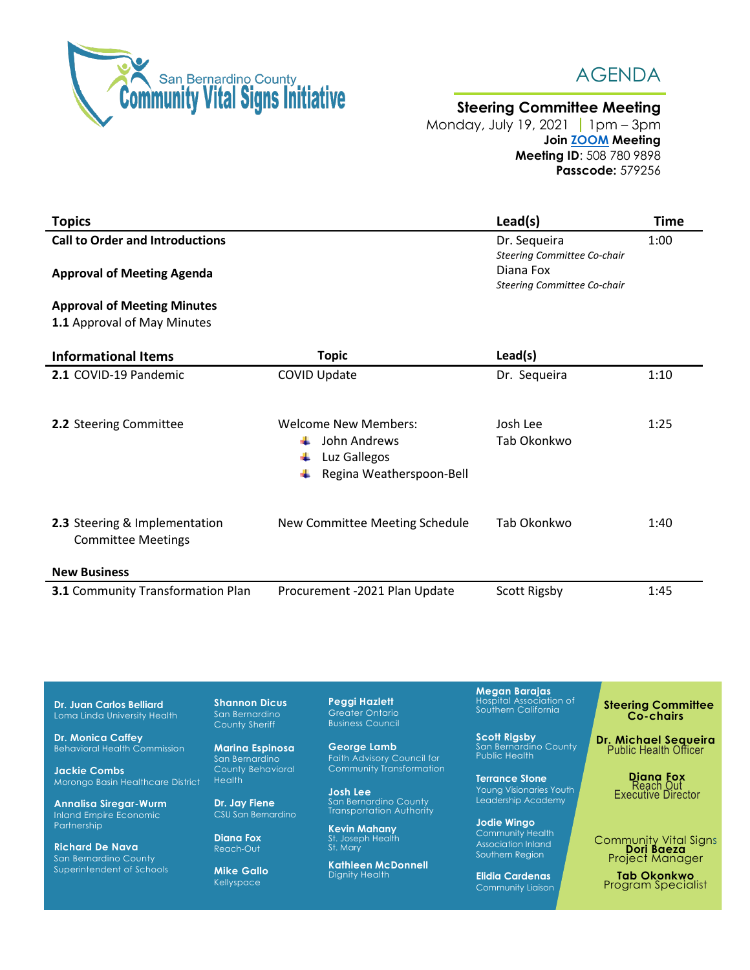

Superintendent of Schools

**Mike Gallo** Kellyspace



## **Steering Committee Meeting**

Monday, July 19, 20211pm – 3pm **Join [ZOOM](https://zoom.us/j/5087809898?pwd=TVM1RmpETjgzeGsxK3NDRk8wQUR4Zz09) Meeting Meeting ID**: 508 780 9898 **Passcode:** 579256

| <b>Topics</b>                                              |                                               | Lead(s)                                                                 | <b>Time</b> |
|------------------------------------------------------------|-----------------------------------------------|-------------------------------------------------------------------------|-------------|
| <b>Call to Order and Introductions</b>                     |                                               | Dr. Sequeira                                                            | 1:00        |
| <b>Approval of Meeting Agenda</b>                          |                                               | Steering Committee Co-chair<br>Diana Fox<br>Steering Committee Co-chair |             |
| <b>Approval of Meeting Minutes</b>                         |                                               |                                                                         |             |
| 1.1 Approval of May Minutes                                |                                               |                                                                         |             |
| <b>Informational Items</b>                                 | <b>Topic</b>                                  | Lead(s)                                                                 |             |
| 2.1 COVID-19 Pandemic                                      | <b>COVID Update</b>                           | Dr. Sequeira                                                            | 1:10        |
|                                                            |                                               |                                                                         |             |
| 2.2 Steering Committee                                     | <b>Welcome New Members:</b>                   | Josh Lee                                                                | 1:25        |
|                                                            | John Andrews                                  | Tab Okonkwo                                                             |             |
|                                                            | Luz Gallegos<br>┹<br>Regina Weatherspoon-Bell |                                                                         |             |
|                                                            |                                               |                                                                         |             |
|                                                            |                                               |                                                                         |             |
| 2.3 Steering & Implementation<br><b>Committee Meetings</b> | New Committee Meeting Schedule                | Tab Okonkwo                                                             | 1:40        |
|                                                            |                                               |                                                                         |             |
| <b>New Business</b>                                        |                                               |                                                                         |             |
| 3.1 Community Transformation Plan                          | Procurement -2021 Plan Update                 | <b>Scott Rigsby</b>                                                     | 1:45        |

 **Steering Committee Co-chairs Dr. Michael Sequeira** Public Health Officer **Diana Fox** Reach Out Executive Director Community Vital Signs **Dori Baeza** Project Manager **Dr. Juan Carlos Belliard** Loma Linda University Health **Dr. Monica Caffey** Behavioral Health Commission **Jackie Combs** Morongo Basin Healthcare District **Annalisa Siregar-Wurm** Inland Empire Economic Partnership **Richard De Nava** San Bernardino County **Shannon Dicus** San Bernardino County Sheriff **Marina Espinosa** San Bernardino County Behavioral **Health Dr. Jay Fiene** CSU San Bernardino **Diana Fox** Reach-Out **Peggi Hazlett** Greater Ontario Business Council **George Lamb** Faith Advisory Council for Community Transformation **Josh Lee** San Bernardino County Transportation Authority **Kevin Mahany**<br>St. Joseph Health<br>St. Mary **Kathleen McDonnell Megan Barajas** Hospital Association of Southern California **Scott Rigsby** San Bernardino County Public Health **Terrance Stone** Young Visionaries Youth Leadership Academy **Jodie Wingo** Community Health Association Inland Southern Region

Dignity Health

**Tab Okonkwo** Program Specialist

**Elidia Cardenas** Community Liaison